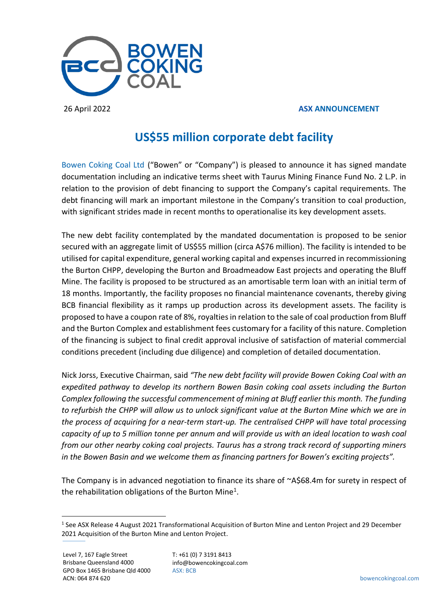

## 26 April 2022 **ASX ANNOUNCEMENT**

# **US\$55 million corporate debt facility**

Bowen Coking Coal Ltd ("Bowen" or "Company") is pleased to announce it has signed mandate documentation including an indicative terms sheet with Taurus Mining Finance Fund No. 2 L.P. in relation to the provision of debt financing to support the Company's capital requirements. The debt financing will mark an important milestone in the Company's transition to coal production, with significant strides made in recent months to operationalise its key development assets.

The new debt facility contemplated by the mandated documentation is proposed to be senior secured with an aggregate limit of US\$55 million (circa A\$76 million). The facility is intended to be utilised for capital expenditure, general working capital and expenses incurred in recommissioning the Burton CHPP, developing the Burton and Broadmeadow East projects and operating the Bluff Mine. The facility is proposed to be structured as an amortisable term loan with an initial term of 18 months. Importantly, the facility proposes no financial maintenance covenants, thereby giving BCB financial flexibility as it ramps up production across its development assets. The facility is proposed to have a coupon rate of 8%, royalties in relation to the sale of coal production from Bluff and the Burton Complex and establishment fees customary for a facility of this nature. Completion of the financing is subject to final credit approval inclusive of satisfaction of material commercial conditions precedent (including due diligence) and completion of detailed documentation.

Nick Jorss, Executive Chairman, said *"The new debt facility will provide Bowen Coking Coal with an expedited pathway to develop its northern Bowen Basin coking coal assets including the Burton Complex following the successful commencement of mining at Bluff earlier this month. The funding to refurbish the CHPP will allow us to unlock significant value at the Burton Mine which we are in the process of acquiring for a near-term start-up. The centralised CHPP will have total processing capacity of up to 5 million tonne per annum and will provide us with an ideal location to wash coal from our other nearby coking coal projects. Taurus has a strong track record of supporting miners in the Bowen Basin and we welcome them as financing partners for Bowen's exciting projects".*

The Company is in advanced negotiation to finance its share of ~A\$68.4m for surety in respect of the rehabilitation obligations of the Burton Mine<sup>1</sup>.

<sup>&</sup>lt;sup>1</sup> See ASX Release 4 August 2021 Transformational Acquisition of Burton Mine and Lenton Project and 29 December 2021 Acquisition of the Burton Mine and Lenton Project.